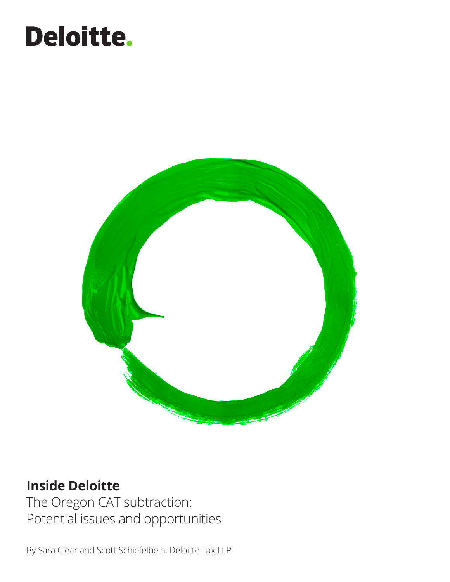# Deloitte.



### **Inside Deloitte**

The Oregon CAT subtraction: Potential issues and opportunities

By Sara Clear and Scott Schiefelbein, Deloitte Tax LLP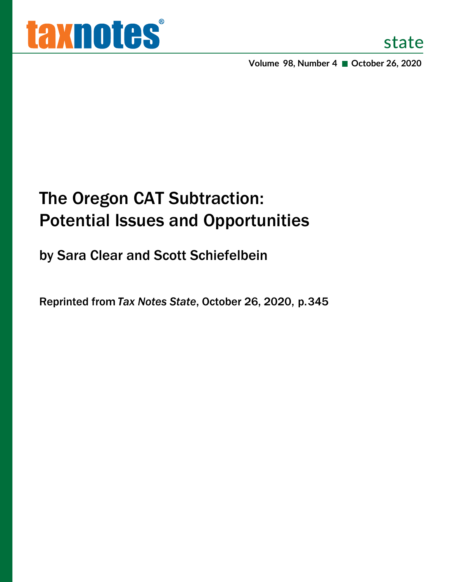**Volume 98, Number 4 October 26, 2020**

# The Oregon CAT Subtraction: Potential Issues and Opportunities

by Sara Clear and Scott Schiefelbein

Reprinted from *Tax Notes State*, October 26, 2020, p. 345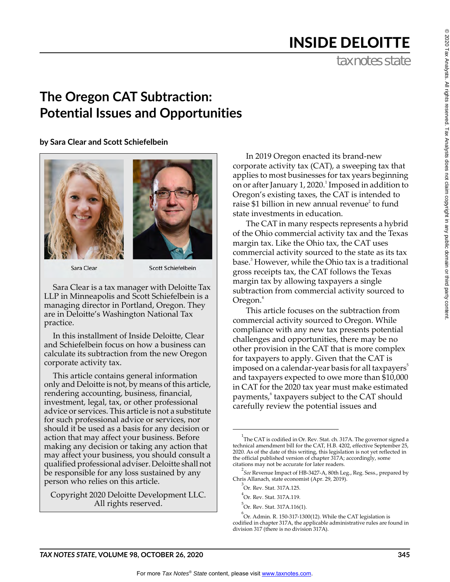## INSIDE DELOITTE

tax notes state

### **The Oregon CAT Subtraction: Potential Issues and Opportunities**

**by Sara Clear and Scott Schiefelbein**





Sara Clear

Scott Schiefelbein

Sara Clear is a tax manager with Deloitte Tax LLP in Minneapolis and Scott Schiefelbein is a managing director in Portland, Oregon. They are in Deloitte's Washington National Tax practice.

In this installment of Inside Deloitte, Clear and Schiefelbein focus on how a business can calculate its subtraction from the new Oregon corporate activity tax.

This article contains general information only and Deloitte is not, by means of this article, rendering accounting, business, financial, investment, legal, tax, or other professional advice or services. This article is not a substitute for such professional advice or services, nor should it be used as a basis for any decision or action that may affect your business. Before making any decision or taking any action that may affect your business, you should consult a qualified professional adviser. Deloitte shall not be responsible for any loss sustained by any person who relies on this article.

Copyright 2020 Deloitte Development LLC. All rights reserved.

In 2019 Oregon enacted its brand-new corporate activity tax (CAT), a sweeping tax that applies to most businesses for tax years beginning on or after January 1, 2020. $^1$  Imposed in addition to Oregon's existing taxes, the CAT is intended to raise \$1 billion in new annual revenue<sup>2</sup> to fund state investments in education.

The CAT in many respects represents a hybrid of the Ohio commercial activity tax and the Texas margin tax. Like the Ohio tax, the CAT uses commercial activity sourced to the state as its tax base.<sup>3</sup> However, while the Ohio tax is a traditional gross receipts tax, the CAT follows the Texas margin tax by allowing taxpayers a single subtraction from commercial activity sourced to Oregon.<sup>4</sup>

This article focuses on the subtraction from commercial activity sourced to Oregon. While compliance with any new tax presents potential challenges and opportunities, there may be no other provision in the CAT that is more complex for taxpayers to apply. Given that the CAT is imposed on a calendar-year basis for all taxpayers<sup>5</sup> and taxpayers expected to owe more than \$10,000 in CAT for the 2020 tax year must make estimated payments,<sup>6</sup> taxpayers subject to the CAT should carefully review the potential issues and

<sup>2</sup> See Revenue Impact of HB-3427-A, 80th Leg., Reg. Sess., prepared by Chris Allanach, state economist (Apr. 29, 2019).

5 Or. Rev. Stat. 317A.116(1).

 $^{6}$ Or. Admin. R. 150-317-1300(12). While the CAT legislation is codified in chapter 317A, the applicable administrative rules are found in division 317 (there is no division 317A).

 $^{1}$ The CAT is codified in Or. Rev. Stat. ch. 317A. The governor signed a technical amendment bill for the CAT, H.B. 4202, effective September 25, 2020. As of the date of this writing, this legislation is not yet reflected in the official published version of chapter 317A; accordingly, some citations may not be accurate for later readers.

<sup>3</sup> Or. Rev. Stat. 317A.125.

<sup>4</sup> Or. Rev. Stat. 317A.119.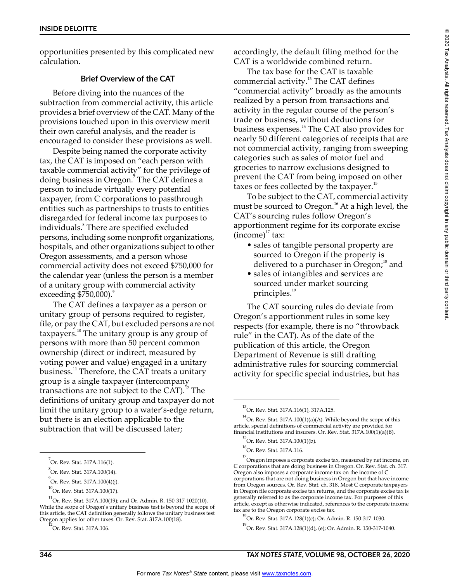opportunities presented by this complicated new calculation.

#### **Brief Overview of the CAT**

Before diving into the nuances of the subtraction from commercial activity, this article provides a brief overview of the CAT. Many of the provisions touched upon in this overview merit their own careful analysis, and the reader is encouraged to consider these provisions as well.

Despite being named the corporate activity tax, the CAT is imposed on "each person with taxable commercial activity" for the privilege of doing business in Oregon.<sup>7</sup> The CAT defines a person to include virtually every potential taxpayer, from C corporations to passthrough entities such as partnerships to trusts to entities disregarded for federal income tax purposes to individuals.<sup>8</sup> There are specified excluded persons, including some nonprofit organizations, hospitals, and other organizations subject to other Oregon assessments, and a person whose commercial activity does not exceed \$750,000 for the calendar year (unless the person is a member of a unitary group with commercial activity exceeding  $$750,000$ .

The CAT defines a taxpayer as a person or unitary group of persons required to register, file, or pay the CAT, but excluded persons are not taxpayers.<sup>10</sup> The unitary group is any group of persons with more than 50 percent common ownership (direct or indirect, measured by voting power and value) engaged in a unitary business.<sup>11</sup> Therefore, the CAT treats a unitary group is a single taxpayer (intercompany transactions are not subject to the CAT).<sup>12</sup> The definitions of unitary group and taxpayer do not limit the unitary group to a water's-edge return, but there is an election applicable to the subtraction that will be discussed later;

Or. Rev. Stat. 317A.106.

accordingly, the default filing method for the CAT is a worldwide combined return.

The tax base for the CAT is taxable commercial activity.<sup>13</sup> The CAT defines "commercial activity" broadly as the amounts realized by a person from transactions and activity in the regular course of the person's trade or business, without deductions for business expenses.<sup>14</sup> The CAT also provides for nearly 50 different categories of receipts that are not commercial activity, ranging from sweeping categories such as sales of motor fuel and groceries to narrow exclusions designed to prevent the CAT from being imposed on other taxes or fees collected by the taxpayer. $15$ 

To be subject to the CAT, commercial activity must be sourced to Oregon.<sup>16</sup> At a high level, the CAT's sourcing rules follow Oregon's apportionment regime for its corporate excise  $(income)^{17}$  tax:

- sales of tangible personal property are sourced to Oregon if the property is delivered to a purchaser in Oregon;<sup>18</sup> and
- sales of intangibles and services are sourced under market sourcing principles.<sup>19</sup>

The CAT sourcing rules do deviate from Oregon's apportionment rules in some key respects (for example, there is no "throwback rule" in the CAT). As of the date of the publication of this article, the Oregon Department of Revenue is still drafting administrative rules for sourcing commercial activity for specific special industries, but has

<sup>&</sup>lt;sup>7</sup>Or. Rev. Stat. 317A.116(1).

<sup>8</sup> Or. Rev. Stat. 317A.100(14).

<sup>&</sup>lt;sup>9</sup><br>Or. Rev. Stat. 317A.100(4)(j).

 $^{10}$ Or. Rev. Stat. 317A.100(17).

<sup>11</sup> Or. Rev. Stat. 317A.100(19); and Or. Admin. R. 150-317-1020(10). While the scope of Oregon's unitary business test is beyond the scope of this article, the CAT definition generally follows the unitary business test Oregon applies for other taxes. Or. Rev. Stat. 317A.100(18).

<sup>13</sup> Or. Rev. Stat. 317A.116(1), 317A.125.

 $^{14}$ Or. Rev. Stat. 317A.100(1)(a)(A). While beyond the scope of this article, special definitions of commercial activity are provided for financial institutions and insurers. Or. Rev. Stat. 317A.100(1)(a)(B).

<sup>15</sup> Or. Rev. Stat. 317A.100(1)(b).

<sup>&</sup>lt;sup>16</sup>Or. Rev. Stat. 317A.116.

<sup>&</sup>lt;sup>17</sup> Oregon imposes a corporate excise tax, measured by net income, on C corporations that are doing business in Oregon. Or. Rev. Stat. ch. 317. Oregon also imposes a corporate income tax on the income of C corporations that are not doing business in Oregon but that have income from Oregon sources. Or. Rev. Stat. ch. 318. Most C corporate taxpayers in Oregon file corporate excise tax returns, and the corporate excise tax is generally referred to as the corporate income tax. For purposes of this article, except as otherwise indicated, references to the corporate income tax are to the Oregon corporate excise tax.

<sup>18</sup> Or. Rev. Stat. 317A.128(1)(c); Or. Admin. R. 150-317-1030.

<sup>19</sup> Or. Rev. Stat. 317A.128(1)(d), (e); Or. Admin. R. 150-317-1040.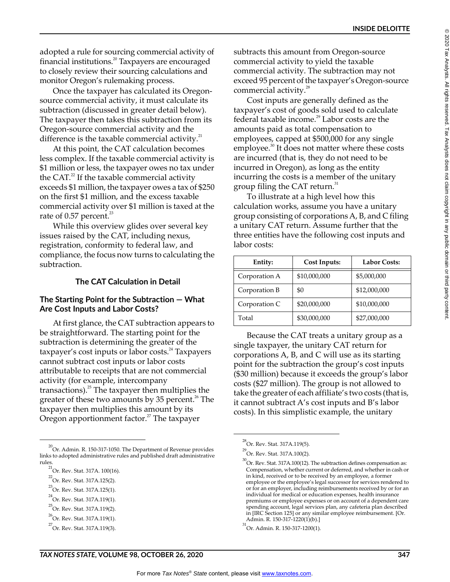adopted a rule for sourcing commercial activity of financial institutions.<sup>20</sup> Taxpayers are encouraged to closely review their sourcing calculations and monitor Oregon's rulemaking process.

Once the taxpayer has calculated its Oregonsource commercial activity, it must calculate its subtraction (discussed in greater detail below). The taxpayer then takes this subtraction from its Oregon-source commercial activity and the difference is the taxable commercial activity. $^{21}$ 

At this point, the CAT calculation becomes less complex. If the taxable commercial activity is \$1 million or less, the taxpayer owes no tax under the CAT. $22$  If the taxable commercial activity exceeds \$1 million, the taxpayer owes a tax of \$250 on the first \$1 million, and the excess taxable commercial activity over \$1 million is taxed at the rate of  $0.57$  percent.<sup>23</sup>

While this overview glides over several key issues raised by the CAT, including nexus, registration, conformity to federal law, and compliance, the focus now turns to calculating the subtraction.

#### **The CAT Calculation in Detail**

#### **The Starting Point for the Subtraction — What Are Cost Inputs and Labor Costs?**

At first glance, the CAT subtraction appears to be straightforward. The starting point for the subtraction is determining the greater of the  $t$ axpayer's cost inputs or labor costs.<sup>24</sup> Taxpayers cannot subtract cost inputs or labor costs attributable to receipts that are not commercial activity (for example, intercompany transactions). $^{25}$  The taxpayer then multiplies the greater of these two amounts by 35 percent. $26$  The taxpayer then multiplies this amount by its Oregon apportionment factor.<sup>27</sup> The taxpayer

subtracts this amount from Oregon-source commercial activity to yield the taxable commercial activity. The subtraction may not exceed 95 percent of the taxpayer's Oregon-source commercial activity.<sup>28</sup>

Cost inputs are generally defined as the taxpayer's cost of goods sold used to calculate federal taxable income.<sup>29</sup> Labor costs are the amounts paid as total compensation to employees, capped at \$500,000 for any single employee.<sup>30</sup> It does not matter where these costs are incurred (that is, they do not need to be incurred in Oregon), as long as the entity incurring the costs is a member of the unitary group filing the CAT return. $31$ 

To illustrate at a high level how this calculation works, assume you have a unitary group consisting of corporations A, B, and C filing a unitary CAT return. Assume further that the three entities have the following cost inputs and labor costs:

| Entity:       | Cost Inputs: | <b>Labor Costs:</b> |
|---------------|--------------|---------------------|
| Corporation A | \$10,000,000 | \$5,000,000         |
| Corporation B | \$0          | \$12,000,000        |
| Corporation C | \$20,000,000 | \$10,000,000        |
| Total         | \$30,000,000 | \$27,000,000        |

Because the CAT treats a unitary group as a single taxpayer, the unitary CAT return for corporations A, B, and C will use as its starting point for the subtraction the group's cost inputs (\$30 million) because it exceeds the group's labor costs (\$27 million). The group is not allowed to take the greater of each affiliate's two costs (that is, it cannot subtract A's cost inputs and B's labor costs). In this simplistic example, the unitary

 $^{20}$ Or. Admin. R. 150-317-1050. The Department of Revenue provides links to adopted administrative rules and published draft administrative rules.

 $\overline{C}$ Or. Rev. Stat. 317A. 100(16).

<sup>&</sup>lt;sup>22</sup>Or. Rev. Stat. 317A.125(2).

<sup>&</sup>lt;sup>23</sup>Or. Rev. Stat. 317A.125(1).

<sup>&</sup>lt;sup>24</sup>Or. Rev. Stat. 317A.119(1).

<sup>&</sup>lt;sup>25</sup>Or. Rev. Stat. 317A.119(2).

<sup>&</sup>lt;sup>26</sup>Or. Rev. Stat. 317A.119(1).

<sup>&</sup>lt;sup>27</sup>Or. Rev. Stat. 317A.119(3).

<sup>&</sup>lt;sup>28</sup>Or. Rev. Stat. 317A.119(5).

<sup>29</sup>Or. Rev. Stat. 317A.100(2).

 $^{30}$ Or. Rev. Stat. 317A.100(12). The subtraction defines compensation as: Compensation, whether current or deferred, and whether in cash or in kind, received or to be received by an employee, a former employee or the employee's legal successor for services rendered to or for an employer, including reimbursements received by or for an individual for medical or education expenses, health insurance premiums or employee expenses or on account of a dependent care spending account, legal services plan, any cafeteria plan described in [IRC Section 125] or any similar employee reimbursement. [Or. Admin. R. 150-317-1220(1)(b).]

 $^{31}$ Or. Admin. R. 150-317-1200(1).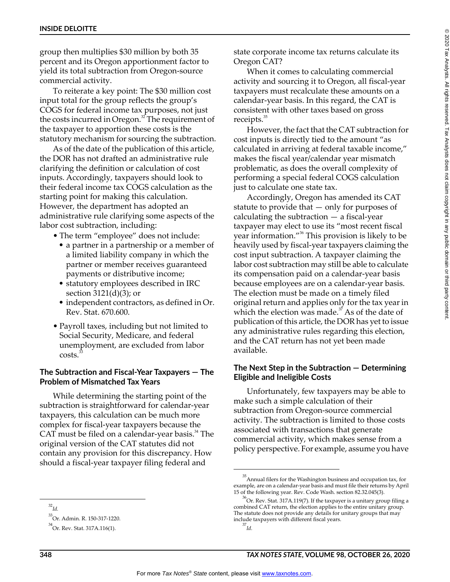group then multiplies \$30 million by both 35 percent and its Oregon apportionment factor to yield its total subtraction from Oregon-source commercial activity.

To reiterate a key point: The \$30 million cost input total for the group reflects the group's COGS for federal income tax purposes, not just the costs incurred in Oregon.<sup>32</sup> The requirement of the taxpayer to apportion these costs is the statutory mechanism for sourcing the subtraction.

As of the date of the publication of this article, the DOR has not drafted an administrative rule clarifying the definition or calculation of cost inputs. Accordingly, taxpayers should look to their federal income tax COGS calculation as the starting point for making this calculation. However, the department has adopted an administrative rule clarifying some aspects of the labor cost subtraction, including:

- The term "employee" does not include:
	- a partner in a partnership or a member of a limited liability company in which the partner or member receives guaranteed payments or distributive income;
	- statutory employees described in IRC section 3121(d)(3); or
	- independent contractors, as defined in Or. Rev. Stat. 670.600.
- Payroll taxes, including but not limited to Social Security, Medicare, and federal unemployment, are excluded from labor costs.<sup>3</sup>

#### **The Subtraction and Fiscal-Year Taxpayers — The Problem of Mismatched Tax Years**

While determining the starting point of the subtraction is straightforward for calendar-year taxpayers, this calculation can be much more complex for fiscal-year taxpayers because the CAT must be filed on a calendar-year basis. $34$  The original version of the CAT statutes did not contain any provision for this discrepancy. How should a fiscal-year taxpayer filing federal and

state corporate income tax returns calculate its Oregon CAT?

When it comes to calculating commercial activity and sourcing it to Oregon, all fiscal-year taxpayers must recalculate these amounts on a calendar-year basis. In this regard, the CAT is consistent with other taxes based on gross receipts.<sup>35</sup>

However, the fact that the CAT subtraction for cost inputs is directly tied to the amount "as calculated in arriving at federal taxable income," makes the fiscal year/calendar year mismatch problematic, as does the overall complexity of performing a special federal COGS calculation just to calculate one state tax.

Accordingly, Oregon has amended its CAT statute to provide that — only for purposes of calculating the subtraction — a fiscal-year taxpayer may elect to use its "most recent fiscal year information."<sup>36</sup> This provision is likely to be heavily used by fiscal-year taxpayers claiming the cost input subtraction. A taxpayer claiming the labor cost subtraction may still be able to calculate its compensation paid on a calendar-year basis because employees are on a calendar-year basis. The election must be made on a timely filed original return and applies only for the tax year in which the election was made.<sup>37</sup> As of the date of publication of this article, the DOR has yet to issue any administrative rules regarding this election, and the CAT return has not yet been made available.

#### **The Next Step in the Subtraction — Determining Eligible and Ineligible Costs**

Unfortunately, few taxpayers may be able to make such a simple calculation of their subtraction from Oregon-source commercial activity. The subtraction is limited to those costs associated with transactions that generate commercial activity, which makes sense from a policy perspective. For example, assume you have

<sup>32</sup> *Id.*

<sup>33</sup> Or. Admin. R. 150-317-1220.

<sup>&</sup>lt;sup>34</sup>Or. Rev. Stat. 317A.116(1).

<sup>35</sup> Annual filers for the Washington business and occupation tax, for example, are on a calendar-year basis and must file their returns by April 15 of the following year. Rev. Code Wash. section 82.32.045(3).

 $^{36}$ Or. Rev. Stat. 317A.119(7). If the taxpayer is a unitary group filing a combined CAT return, the election applies to the entire unitary group. The statute does not provide any details for unitary groups that may include taxpayers with different fiscal years. 37 *Id.*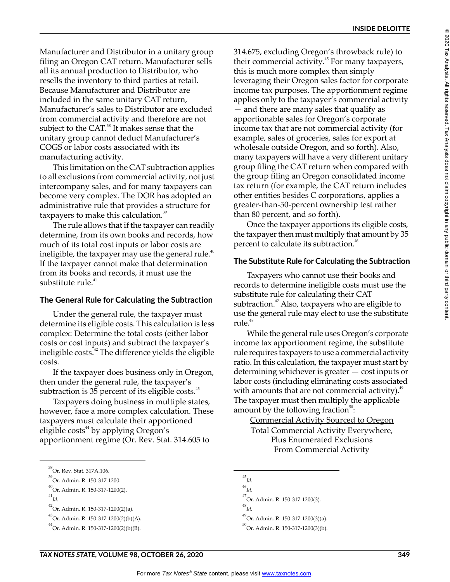Manufacturer and Distributor in a unitary group filing an Oregon CAT return. Manufacturer sells all its annual production to Distributor, who resells the inventory to third parties at retail. Because Manufacturer and Distributor are included in the same unitary CAT return, Manufacturer's sales to Distributor are excluded from commercial activity and therefore are not subject to the  $CAT.^{38}$  It makes sense that the unitary group cannot deduct Manufacturer's COGS or labor costs associated with its manufacturing activity.

This limitation on the CAT subtraction applies to all exclusions from commercial activity, not just intercompany sales, and for many taxpayers can become very complex. The DOR has adopted an administrative rule that provides a structure for taxpayers to make this calculation.<sup>39</sup>

The rule allows that if the taxpayer can readily determine, from its own books and records, how much of its total cost inputs or labor costs are ineligible, the taxpayer may use the general rule. $40$ If the taxpayer cannot make that determination from its books and records, it must use the substitute rule.<sup>41</sup>

#### **The General Rule for Calculating the Subtraction**

Under the general rule, the taxpayer must determine its eligible costs. This calculation is less complex: Determine the total costs (either labor costs or cost inputs) and subtract the taxpayer's ineligible costs.<sup>42</sup> The difference yields the eligible costs.

If the taxpayer does business only in Oregon, then under the general rule, the taxpayer's subtraction is 35 percent of its eligible costs.<sup>43</sup>

Taxpayers doing business in multiple states, however, face a more complex calculation. These taxpayers must calculate their apportioned eligible  $costs<sup>44</sup>$  by applying Oregon's apportionment regime (Or. Rev. Stat. 314.605 to

 $^{42}$ Or. Admin. R. 150-317-1200(2)(a).

314.675, excluding Oregon's throwback rule) to their commercial activity.<sup>45</sup> For many taxpayers, this is much more complex than simply leveraging their Oregon sales factor for corporate income tax purposes. The apportionment regime applies only to the taxpayer's commercial activity — and there are many sales that qualify as apportionable sales for Oregon's corporate income tax that are not commercial activity (for example, sales of groceries, sales for export at wholesale outside Oregon, and so forth). Also, many taxpayers will have a very different unitary group filing the CAT return when compared with the group filing an Oregon consolidated income tax return (for example, the CAT return includes other entities besides C corporations, applies a greater-than-50-percent ownership test rather than 80 percent, and so forth).

Once the taxpayer apportions its eligible costs, the taxpayer then must multiply that amount by 35 percent to calculate its subtraction.<sup>46</sup>

#### **The Substitute Rule for Calculating the Subtraction**

Taxpayers who cannot use their books and records to determine ineligible costs must use the substitute rule for calculating their CAT subtraction. $47$  Also, taxpayers who are eligible to use the general rule may elect to use the substitute rule.<sup>48</sup>

While the general rule uses Oregon's corporate income tax apportionment regime, the substitute rule requires taxpayers to use a commercial activity ratio. In this calculation, the taxpayer must start by determining whichever is greater — cost inputs or labor costs (including eliminating costs associated with amounts that are not commercial activity). $49$ The taxpayer must then multiply the applicable amount by the following fraction $^{50}$ :

Commercial Activity Sourced to Oregon Total Commercial Activity Everywhere, Plus Enumerated Exclusions From Commercial Activity

<sup>47</sup>Or. Admin. R. 150-317-1200(3).

48 *Id.*

49 Or. Admin. R. 150-317-1200(3)(a).

<sup>50</sup>Or. Admin. R. 150-317-1200(3)(b).

<sup>38</sup>Or. Rev. Stat. 317A.106.

<sup>39</sup> Or. Admin. R. 150-317-1200.

<sup>40</sup> Or. Admin. R. 150-317-1200(2).

<sup>41</sup> *Id.*

<sup>43</sup> Or. Admin. R. 150-317-1200(2)(b)(A).

<sup>44</sup> Or. Admin. R. 150-317-1200(2)(b)(B).

<sup>45</sup> *Id.*

<sup>46</sup> *Id*.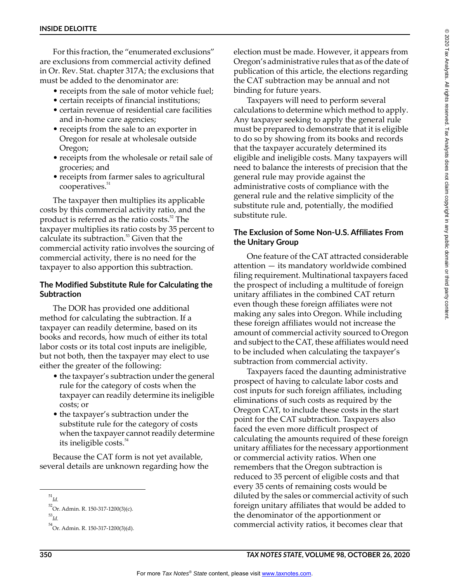For this fraction, the "enumerated exclusions" are exclusions from commercial activity defined in Or. Rev. Stat. chapter 317A; the exclusions that must be added to the denominator are:

- receipts from the sale of motor vehicle fuel;
- certain receipts of financial institutions;
- certain revenue of residential care facilities and in-home care agencies;
- receipts from the sale to an exporter in Oregon for resale at wholesale outside Oregon;
- receipts from the wholesale or retail sale of groceries; and
- receipts from farmer sales to agricultural cooperatives.<sup>51</sup>

The taxpayer then multiplies its applicable costs by this commercial activity ratio, and the product is referred as the ratio costs.<sup>52</sup> The taxpayer multiplies its ratio costs by 35 percent to calculate its subtraction.<sup>53</sup> Given that the commercial activity ratio involves the sourcing of commercial activity, there is no need for the taxpayer to also apportion this subtraction.

#### **The Modified Substitute Rule for Calculating the Subtraction**

The DOR has provided one additional method for calculating the subtraction. If a taxpayer can readily determine, based on its books and records, how much of either its total labor costs or its total cost inputs are ineligible, but not both, then the taxpayer may elect to use either the greater of the following:

- the taxpayer's subtraction under the general rule for the category of costs when the taxpayer can readily determine its ineligible costs; or
- the taxpayer's subtraction under the substitute rule for the category of costs when the taxpayer cannot readily determine its ineligible costs.<sup>54</sup>

Because the CAT form is not yet available, several details are unknown regarding how the

election must be made. However, it appears from Oregon's administrative rules that as of the date of publication of this article, the elections regarding the CAT subtraction may be annual and not binding for future years.

Taxpayers will need to perform several calculations to determine which method to apply. Any taxpayer seeking to apply the general rule must be prepared to demonstrate that it is eligible to do so by showing from its books and records that the taxpayer accurately determined its eligible and ineligible costs. Many taxpayers will need to balance the interests of precision that the general rule may provide against the administrative costs of compliance with the general rule and the relative simplicity of the substitute rule and, potentially, the modified substitute rule.

#### **The Exclusion of Some Non-U.S. Affiliates From the Unitary Group**

One feature of the CAT attracted considerable attention — its mandatory worldwide combined filing requirement. Multinational taxpayers faced the prospect of including a multitude of foreign unitary affiliates in the combined CAT return even though these foreign affiliates were not making any sales into Oregon. While including these foreign affiliates would not increase the amount of commercial activity sourced to Oregon and subject to the CAT, these affiliates would need to be included when calculating the taxpayer's subtraction from commercial activity.

Taxpayers faced the daunting administrative prospect of having to calculate labor costs and cost inputs for such foreign affiliates, including eliminations of such costs as required by the Oregon CAT, to include these costs in the start point for the CAT subtraction. Taxpayers also faced the even more difficult prospect of calculating the amounts required of these foreign unitary affiliates for the necessary apportionment or commercial activity ratios. When one remembers that the Oregon subtraction is reduced to 35 percent of eligible costs and that every 35 cents of remaining costs would be diluted by the sales or commercial activity of such foreign unitary affiliates that would be added to the denominator of the apportionment or commercial activity ratios, it becomes clear that

<sup>51</sup> *Id.*

<sup>52</sup> Or. Admin. R. 150-317-1200(3)(c). 53 *Id.*

<sup>54</sup> Or. Admin. R. 150-317-1200(3)(d).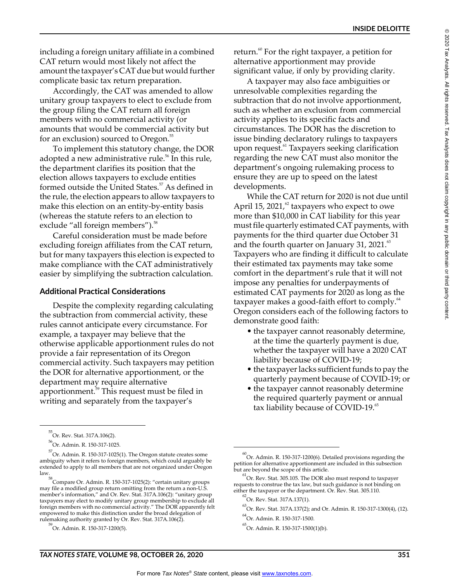including a foreign unitary affiliate in a combined CAT return would most likely not affect the amount the taxpayer's CAT due but would further complicate basic tax return preparation.

Accordingly, the CAT was amended to allow unitary group taxpayers to elect to exclude from the group filing the CAT return all foreign members with no commercial activity (or amounts that would be commercial activity but for an exclusion) sourced to Oregon.<sup>55</sup>

To implement this statutory change, the DOR adopted a new administrative rule.<sup>56</sup> In this rule, the department clarifies its position that the election allows taxpayers to exclude entities formed outside the United States.<sup>57</sup> As defined in the rule, the election appears to allow taxpayers to make this election on an entity-by-entity basis (whereas the statute refers to an election to exclude "all foreign members").<sup>58</sup>

Careful consideration must be made before excluding foreign affiliates from the CAT return, but for many taxpayers this election is expected to make compliance with the CAT administratively easier by simplifying the subtraction calculation.

#### **Additional Practical Considerations**

Despite the complexity regarding calculating the subtraction from commercial activity, these rules cannot anticipate every circumstance. For example, a taxpayer may believe that the otherwise applicable apportionment rules do not provide a fair representation of its Oregon commercial activity. Such taxpayers may petition the DOR for alternative apportionment, or the department may require alternative apportionment.59 This request must be filed in writing and separately from the taxpayer's

A taxpayer may also face ambiguities or unresolvable complexities regarding the subtraction that do not involve apportionment, such as whether an exclusion from commercial activity applies to its specific facts and circumstances. The DOR has the discretion to issue binding declaratory rulings to taxpayers upon request.<sup>61</sup> Taxpayers seeking clarification regarding the new CAT must also monitor the department's ongoing rulemaking process to ensure they are up to speed on the latest developments.

While the CAT return for 2020 is not due until April 15, 2021, $\frac{62}{5}$  taxpayers who expect to owe more than \$10,000 in CAT liability for this year must file quarterly estimated CAT payments, with payments for the third quarter due October 31 and the fourth quarter on January 31, 2021. $\frac{1}{10}$ Taxpayers who are finding it difficult to calculate their estimated tax payments may take some comfort in the department's rule that it will not impose any penalties for underpayments of estimated CAT payments for 2020 as long as the taxpayer makes a good-faith effort to comply.<sup>64</sup> Oregon considers each of the following factors to demonstrate good faith:

- the taxpayer cannot reasonably determine, at the time the quarterly payment is due, whether the taxpayer will have a 2020 CAT liability because of COVID-19;
- the taxpayer lacks sufficient funds to pay the quarterly payment because of COVID-19; or
- the taxpayer cannot reasonably determine the required quarterly payment or annual tax liability because of COVID-19.<sup>65</sup>

return.<sup>60</sup> For the right taxpayer, a petition for alternative apportionment may provide significant value, if only by providing clarity.

<sup>55</sup> Or. Rev. Stat. 317A.106(2).

<sup>56</sup> Or. Admin. R. 150-317-1025.

<sup>57</sup> Or. Admin. R. 150-317-1025(1). The Oregon statute creates some ambiguity when it refers to foreign members, which could arguably be extended to apply to all members that are not organized under Oregon

law.<br><sup>58</sup>Compare Or. Admin. R. 150-317-1025(2): "certain unitary groups may file a modified group return omitting from the return a non-U.S. member's information," and Or. Rev. Stat. 317A.106(2): "unitary group taxpayers may elect to modify unitary group membership to exclude all foreign members with no commercial activity." The DOR apparently felt empowered to make this distinction under the broad delegation of rulemaking authority granted by Or. Rev. Stat. 317A.106(2).

<sup>59</sup> Or. Admin. R. 150-317-1200(5).

 $^{60}$ Or. Admin. R. 150-317-1200(6). Detailed provisions regarding the petition for alternative apportionment are included in this subsection but are beyond the scope of this article.

 $^{61}$ Or. Rev. Stat. 305.105. The DOR also must respond to taxpayer requests to construe the tax law, but such guidance is not binding on either the taxpayer or the department. Or. Rev. Stat. 305.110.

<sup>62</sup> Or. Rev. Stat. 317A.137(1).

<sup>63</sup> Or. Rev. Stat. 317A.137(2); and Or. Admin. R. 150-317-1300(4), (12).

<sup>64</sup> Or. Admin. R. 150-317-1500.

<sup>65</sup> Or. Admin. R. 150-317-1500(1)(b).